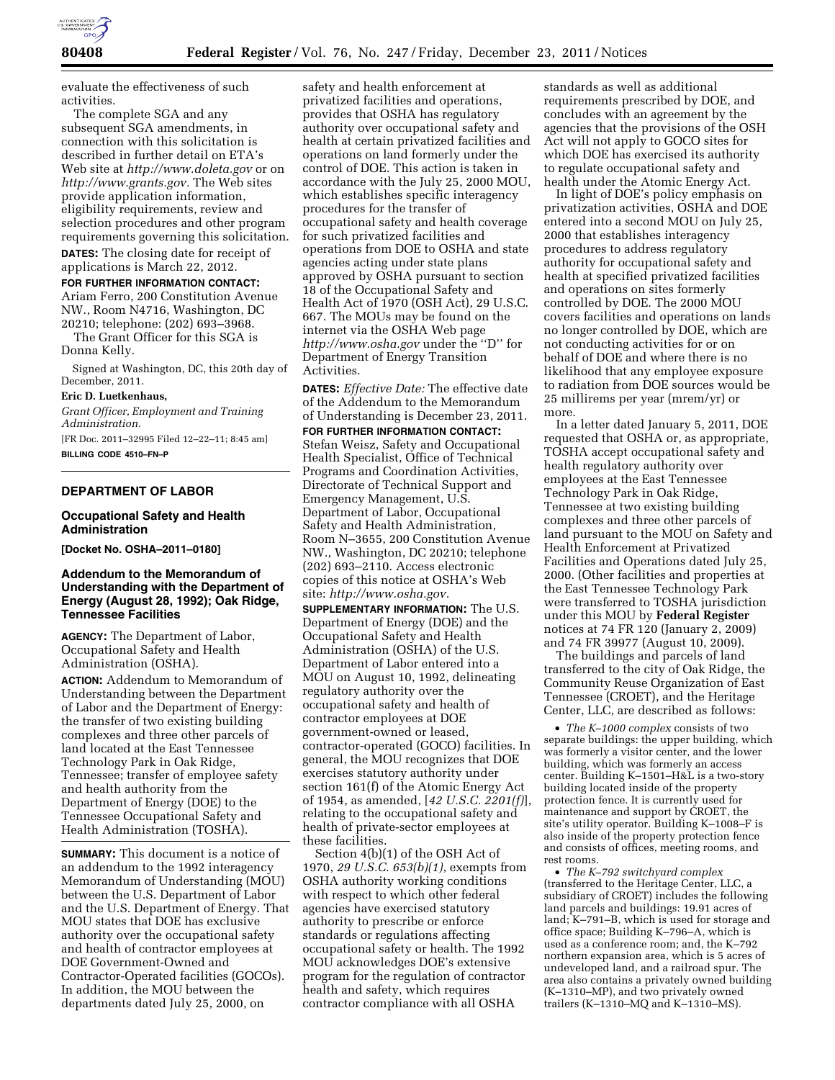

evaluate the effectiveness of such activities.

The complete SGA and any subsequent SGA amendments, in connection with this solicitation is described in further detail on ETA's Web site at *http://www.doleta.gov* or on *http://www.grants.gov.* The Web sites provide application information, eligibility requirements, review and selection procedures and other program requirements governing this solicitation. **DATES:** The closing date for receipt of applications is March 22, 2012.

# **FOR FURTHER INFORMATION CONTACT:**

Ariam Ferro, 200 Constitution Avenue NW., Room N4716, Washington, DC 20210; telephone: (202) 693–3968.

The Grant Officer for this SGA is Donna Kelly.

Signed at Washington, DC, this 20th day of December, 2011.

### **Eric D. Luetkenhaus,**

*Grant Officer, Employment and Training Administration.* 

[FR Doc. 2011–32995 Filed 12–22–11; 8:45 am] **BILLING CODE 4510–FN–P** 

## **DEPARTMENT OF LABOR**

## **Occupational Safety and Health Administration**

**[Docket No. OSHA–2011–0180]** 

## **Addendum to the Memorandum of Understanding with the Department of Energy (August 28, 1992); Oak Ridge, Tennessee Facilities**

**AGENCY:** The Department of Labor, Occupational Safety and Health Administration (OSHA).

**ACTION:** Addendum to Memorandum of Understanding between the Department of Labor and the Department of Energy: the transfer of two existing building complexes and three other parcels of land located at the East Tennessee Technology Park in Oak Ridge, Tennessee; transfer of employee safety and health authority from the Department of Energy (DOE) to the Tennessee Occupational Safety and Health Administration (TOSHA).

**SUMMARY:** This document is a notice of an addendum to the 1992 interagency Memorandum of Understanding (MOU) between the U.S. Department of Labor and the U.S. Department of Energy. That MOU states that DOE has exclusive authority over the occupational safety and health of contractor employees at DOE Government-Owned and Contractor-Operated facilities (GOCOs). In addition, the MOU between the departments dated July 25, 2000, on

safety and health enforcement at privatized facilities and operations, provides that OSHA has regulatory authority over occupational safety and health at certain privatized facilities and operations on land formerly under the control of DOE. This action is taken in accordance with the July 25, 2000 MOU, which establishes specific interagency procedures for the transfer of occupational safety and health coverage for such privatized facilities and operations from DOE to OSHA and state agencies acting under state plans approved by OSHA pursuant to section 18 of the Occupational Safety and Health Act of 1970 (OSH Act), 29 U.S.C. 667. The MOUs may be found on the internet via the OSHA Web page *http://www.osha.gov* under the ''D'' for Department of Energy Transition Activities.

**DATES:** *Effective Date:* The effective date of the Addendum to the Memorandum of Understanding is December 23, 2011. **FOR FURTHER INFORMATION CONTACT:**  Stefan Weisz, Safety and Occupational Health Specialist, Office of Technical Programs and Coordination Activities, Directorate of Technical Support and Emergency Management, U.S. Department of Labor, Occupational Safety and Health Administration, Room N–3655, 200 Constitution Avenue NW., Washington, DC 20210; telephone (202) 693–2110. Access electronic copies of this notice at OSHA's Web site: *http://www.osha.gov.* 

**SUPPLEMENTARY INFORMATION:** The U.S. Department of Energy (DOE) and the Occupational Safety and Health Administration (OSHA) of the U.S. Department of Labor entered into a MOU on August 10, 1992, delineating regulatory authority over the occupational safety and health of contractor employees at DOE government-owned or leased, contractor-operated (GOCO) facilities. In general, the MOU recognizes that DOE exercises statutory authority under section 161(f) of the Atomic Energy Act of 1954, as amended, [*42 U.S.C. 2201(f)*], relating to the occupational safety and health of private-sector employees at these facilities.

Section 4(b)(1) of the OSH Act of 1970, *29 U.S.C. 653(b)(1)*, exempts from OSHA authority working conditions with respect to which other federal agencies have exercised statutory authority to prescribe or enforce standards or regulations affecting occupational safety or health. The 1992 MOU acknowledges DOE's extensive program for the regulation of contractor health and safety, which requires contractor compliance with all OSHA

standards as well as additional requirements prescribed by DOE, and concludes with an agreement by the agencies that the provisions of the OSH Act will not apply to GOCO sites for which DOE has exercised its authority to regulate occupational safety and health under the Atomic Energy Act.

In light of DOE's policy emphasis on privatization activities, OSHA and DOE entered into a second MOU on July 25, 2000 that establishes interagency procedures to address regulatory authority for occupational safety and health at specified privatized facilities and operations on sites formerly controlled by DOE. The 2000 MOU covers facilities and operations on lands no longer controlled by DOE, which are not conducting activities for or on behalf of DOE and where there is no likelihood that any employee exposure to radiation from DOE sources would be 25 millirems per year (mrem/yr) or more.

In a letter dated January 5, 2011, DOE requested that OSHA or, as appropriate, TOSHA accept occupational safety and health regulatory authority over employees at the East Tennessee Technology Park in Oak Ridge, Tennessee at two existing building complexes and three other parcels of land pursuant to the MOU on Safety and Health Enforcement at Privatized Facilities and Operations dated July 25, 2000. (Other facilities and properties at the East Tennessee Technology Park were transferred to TOSHA jurisdiction under this MOU by **Federal Register**  notices at 74 FR 120 (January 2, 2009) and 74 FR 39977 (August 10, 2009).

The buildings and parcels of land transferred to the city of Oak Ridge, the Community Reuse Organization of East Tennessee (CROET), and the Heritage Center, LLC, are described as follows:

• *The K–1000 complex* consists of two separate buildings: the upper building, which was formerly a visitor center, and the lower building, which was formerly an access center. Building K–1501–H&L is a two-story building located inside of the property protection fence. It is currently used for maintenance and support by CROET, the site's utility operator. Building K–1008–F is also inside of the property protection fence and consists of offices, meeting rooms, and rest rooms.

• *The K–792 switchyard complex*  (transferred to the Heritage Center, LLC, a subsidiary of CROET) includes the following land parcels and buildings: 19.91 acres of land; K–791–B, which is used for storage and office space; Building K–796–A, which is used as a conference room; and, the K–792 northern expansion area, which is 5 acres of undeveloped land, and a railroad spur. The area also contains a privately owned building (K–1310–MP), and two privately owned trailers (K–1310–MQ and K–1310–MS).